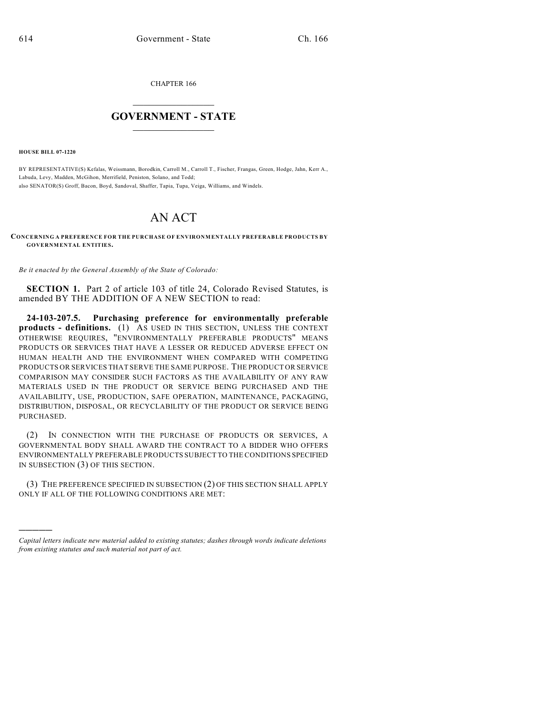CHAPTER 166

## $\overline{\phantom{a}}$  . The set of the set of the set of the set of the set of the set of the set of the set of the set of the set of the set of the set of the set of the set of the set of the set of the set of the set of the set o **GOVERNMENT - STATE**  $\_$

**HOUSE BILL 07-1220**

)))))

BY REPRESENTATIVE(S) Kefalas, Weissmann, Borodkin, Carroll M., Carroll T., Fischer, Frangas, Green, Hodge, Jahn, Kerr A., Labuda, Levy, Madden, McGihon, Merrifield, Peniston, Solano, and Todd; also SENATOR(S) Groff, Bacon, Boyd, Sandoval, Shaffer, Tapia, Tupa, Veiga, Williams, and Windels.

## AN ACT

**CONCERNING A PREFERENCE FOR THE PURCHASE OF ENVIRONMENTALLY PREFERABLE PRODUCTS BY GOVERNMENTAL ENTITIES.**

*Be it enacted by the General Assembly of the State of Colorado:*

**SECTION 1.** Part 2 of article 103 of title 24, Colorado Revised Statutes, is amended BY THE ADDITION OF A NEW SECTION to read:

**24-103-207.5. Purchasing preference for environmentally preferable products - definitions.** (1) AS USED IN THIS SECTION, UNLESS THE CONTEXT OTHERWISE REQUIRES, "ENVIRONMENTALLY PREFERABLE PRODUCTS" MEANS PRODUCTS OR SERVICES THAT HAVE A LESSER OR REDUCED ADVERSE EFFECT ON HUMAN HEALTH AND THE ENVIRONMENT WHEN COMPARED WITH COMPETING PRODUCTS OR SERVICES THAT SERVE THE SAME PURPOSE. THE PRODUCT OR SERVICE COMPARISON MAY CONSIDER SUCH FACTORS AS THE AVAILABILITY OF ANY RAW MATERIALS USED IN THE PRODUCT OR SERVICE BEING PURCHASED AND THE AVAILABILITY, USE, PRODUCTION, SAFE OPERATION, MAINTENANCE, PACKAGING, DISTRIBUTION, DISPOSAL, OR RECYCLABILITY OF THE PRODUCT OR SERVICE BEING PURCHASED.

(2) IN CONNECTION WITH THE PURCHASE OF PRODUCTS OR SERVICES, A GOVERNMENTAL BODY SHALL AWARD THE CONTRACT TO A BIDDER WHO OFFERS ENVIRONMENTALLY PREFERABLE PRODUCTS SUBJECT TO THE CONDITIONS SPECIFIED IN SUBSECTION (3) OF THIS SECTION.

(3) THE PREFERENCE SPECIFIED IN SUBSECTION (2) OF THIS SECTION SHALL APPLY ONLY IF ALL OF THE FOLLOWING CONDITIONS ARE MET:

*Capital letters indicate new material added to existing statutes; dashes through words indicate deletions from existing statutes and such material not part of act.*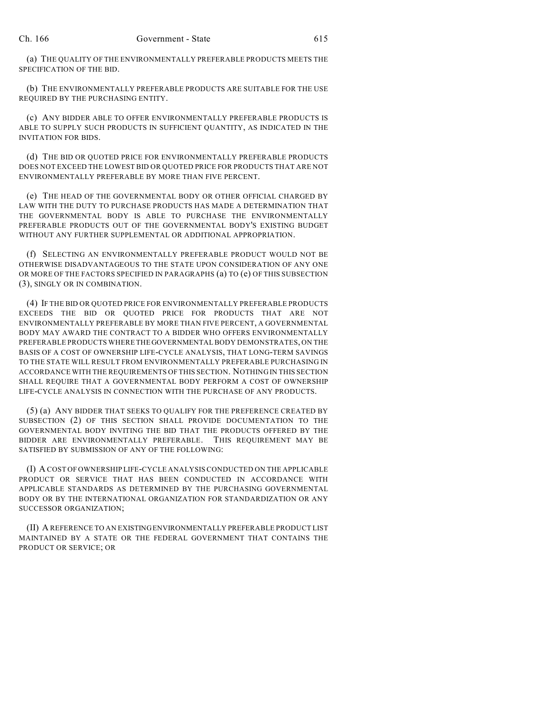(a) THE QUALITY OF THE ENVIRONMENTALLY PREFERABLE PRODUCTS MEETS THE SPECIFICATION OF THE BID.

(b) THE ENVIRONMENTALLY PREFERABLE PRODUCTS ARE SUITABLE FOR THE USE REQUIRED BY THE PURCHASING ENTITY.

(c) ANY BIDDER ABLE TO OFFER ENVIRONMENTALLY PREFERABLE PRODUCTS IS ABLE TO SUPPLY SUCH PRODUCTS IN SUFFICIENT QUANTITY, AS INDICATED IN THE INVITATION FOR BIDS.

(d) THE BID OR QUOTED PRICE FOR ENVIRONMENTALLY PREFERABLE PRODUCTS DOES NOT EXCEED THE LOWEST BID OR QUOTED PRICE FOR PRODUCTS THAT ARE NOT ENVIRONMENTALLY PREFERABLE BY MORE THAN FIVE PERCENT.

(e) THE HEAD OF THE GOVERNMENTAL BODY OR OTHER OFFICIAL CHARGED BY LAW WITH THE DUTY TO PURCHASE PRODUCTS HAS MADE A DETERMINATION THAT THE GOVERNMENTAL BODY IS ABLE TO PURCHASE THE ENVIRONMENTALLY PREFERABLE PRODUCTS OUT OF THE GOVERNMENTAL BODY'S EXISTING BUDGET WITHOUT ANY FURTHER SUPPLEMENTAL OR ADDITIONAL APPROPRIATION.

(f) SELECTING AN ENVIRONMENTALLY PREFERABLE PRODUCT WOULD NOT BE OTHERWISE DISADVANTAGEOUS TO THE STATE UPON CONSIDERATION OF ANY ONE OR MORE OF THE FACTORS SPECIFIED IN PARAGRAPHS (a) TO (e) OF THIS SUBSECTION (3), SINGLY OR IN COMBINATION.

(4) IF THE BID OR QUOTED PRICE FOR ENVIRONMENTALLY PREFERABLE PRODUCTS EXCEEDS THE BID OR QUOTED PRICE FOR PRODUCTS THAT ARE NOT ENVIRONMENTALLY PREFERABLE BY MORE THAN FIVE PERCENT, A GOVERNMENTAL BODY MAY AWARD THE CONTRACT TO A BIDDER WHO OFFERS ENVIRONMENTALLY PREFERABLE PRODUCTS WHERE THE GOVERNMENTAL BODY DEMONSTRATES, ON THE BASIS OF A COST OF OWNERSHIP LIFE-CYCLE ANALYSIS, THAT LONG-TERM SAVINGS TO THE STATE WILL RESULT FROM ENVIRONMENTALLY PREFERABLE PURCHASING IN ACCORDANCE WITH THE REQUIREMENTS OF THIS SECTION. NOTHING IN THIS SECTION SHALL REQUIRE THAT A GOVERNMENTAL BODY PERFORM A COST OF OWNERSHIP LIFE-CYCLE ANALYSIS IN CONNECTION WITH THE PURCHASE OF ANY PRODUCTS.

(5) (a) ANY BIDDER THAT SEEKS TO QUALIFY FOR THE PREFERENCE CREATED BY SUBSECTION (2) OF THIS SECTION SHALL PROVIDE DOCUMENTATION TO THE GOVERNMENTAL BODY INVITING THE BID THAT THE PRODUCTS OFFERED BY THE BIDDER ARE ENVIRONMENTALLY PREFERABLE. THIS REQUIREMENT MAY BE SATISFIED BY SUBMISSION OF ANY OF THE FOLLOWING:

(I) A COST OF OWNERSHIP LIFE-CYCLE ANALYSIS CONDUCTED ON THE APPLICABLE PRODUCT OR SERVICE THAT HAS BEEN CONDUCTED IN ACCORDANCE WITH APPLICABLE STANDARDS AS DETERMINED BY THE PURCHASING GOVERNMENTAL BODY OR BY THE INTERNATIONAL ORGANIZATION FOR STANDARDIZATION OR ANY SUCCESSOR ORGANIZATION;

(II) A REFERENCE TO AN EXISTING ENVIRONMENTALLY PREFERABLE PRODUCT LIST MAINTAINED BY A STATE OR THE FEDERAL GOVERNMENT THAT CONTAINS THE PRODUCT OR SERVICE; OR